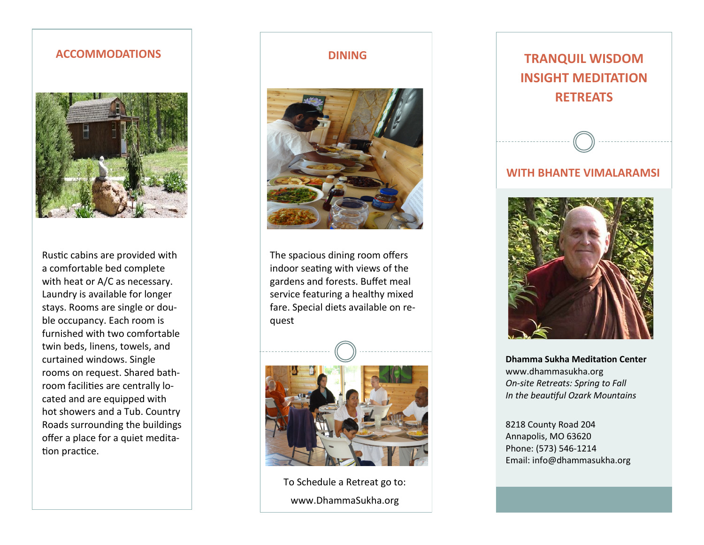## **ACCOMMODATIONS DINING**



Rustic cabins are provided with a comfortable bed complete with heat or A/C as necessary. Laundry is available for longer stays. Rooms are single or double occupancy. Each room is furnished with two comfortable twin beds, linens, towels, and curtained windows. Single rooms on request. Shared bathroom facilities are centrally located and are equipped with hot showers and a Tub. Country Roads surrounding the buildings offer a place for a quiet meditation practice.



The spacious dining room offers indoor seating with views of the gardens and forests. Buffet meal service featuring a healthy mixed fare. Special diets available on request



To Schedule a Retreat go to: www.DhammaSukha.org



**Dhamma Sukha Meditation Center** [www.dhammasukha.org](http://www.dhammasukha.org/) *On-site Retreats: Spring to Fall In the beautiful Ozark Mountains*

8218 County Road 204 Annapolis, MO 63620 Phone: (573) 546-1214 Email: [info@dhammasukha.org](mailto:info@dhammasukha.org)